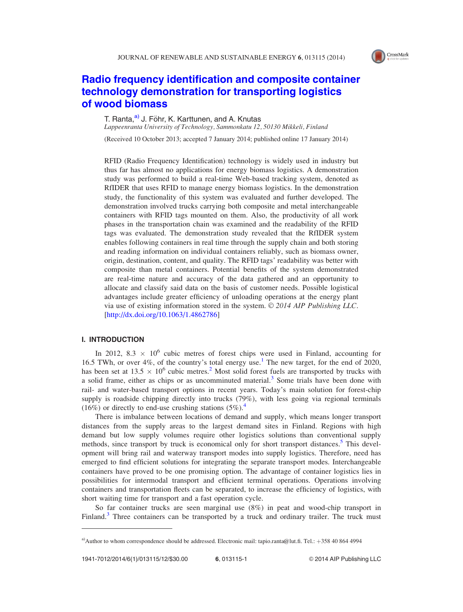

# [Radio frequency identification and composite container](http://dx.doi.org/10.1063/1.4862786) [technology demonstration for transporting logistics](http://dx.doi.org/10.1063/1.4862786) [of wood biomass](http://dx.doi.org/10.1063/1.4862786)

T. Ranta,<sup>a)</sup> J. Föhr, K. Karttunen, and A. Knutas

Lappeenranta University of Technology, Sammonkatu 12, 50130 Mikkeli, Finland

(Received 10 October 2013; accepted 7 January 2014; published online 17 January 2014)

RFID (Radio Frequency Identification) technology is widely used in industry but thus far has almost no applications for energy biomass logistics. A demonstration study was performed to build a real-time Web-based tracking system, denoted as RfIDER that uses RFID to manage energy biomass logistics. In the demonstration study, the functionality of this system was evaluated and further developed. The demonstration involved trucks carrying both composite and metal interchangeable containers with RFID tags mounted on them. Also, the productivity of all work phases in the transportation chain was examined and the readability of the RFID tags was evaluated. The demonstration study revealed that the RfIDER system enables following containers in real time through the supply chain and both storing and reading information on individual containers reliably, such as biomass owner, origin, destination, content, and quality. The RFID tags' readability was better with composite than metal containers. Potential benefits of the system demonstrated are real-time nature and accuracy of the data gathered and an opportunity to allocate and classify said data on the basis of customer needs. Possible logistical advantages include greater efficiency of unloading operations at the energy plant via use of existing information stored in the system.  $\odot$  2014 AIP Publishing LLC. [\[http://dx.doi.org/10.1063/1.4862786](http://dx.doi.org/10.1063/1.4862786)]

# I. INTRODUCTION

In 2012, 8.3  $\times$  10<sup>6</sup> cubic metres of forest chips were used in Finland, accounting for 16.5 TWh, or over 4%, of the country's total energy use.[1](#page-10-0) The new target, for the end of 2020, has been set at 13.5  $\times$  10<sup>6</sup> cubic metres.<sup>[2](#page-10-0)</sup> Most solid forest fuels are transported by trucks with a solid frame, either as chips or as uncomminuted material.<sup>[3](#page-10-0)</sup> Some trials have been done with rail- and water-based transport options in recent years. Today's main solution for forest-chip supply is roadside chipping directly into trucks (79%), with less going via regional terminals  $(16\%)$  or directly to end-use crushing stations  $(5\%)$ .

There is imbalance between locations of demand and supply, which means longer transport distances from the supply areas to the largest demand sites in Finland. Regions with high demand but low supply volumes require other logistics solutions than conventional supply methods, since transport by truck is economical only for short transport distances.<sup>[5](#page-10-0)</sup> This development will bring rail and waterway transport modes into supply logistics. Therefore, need has emerged to find efficient solutions for integrating the separate transport modes. Interchangeable containers have proved to be one promising option. The advantage of container logistics lies in possibilities for intermodal transport and efficient terminal operations. Operations involving containers and transportation fleets can be separated, to increase the efficiency of logistics, with short waiting time for transport and a fast operation cycle.

So far container trucks are seen marginal use (8%) in peat and wood-chip transport in Finland.<sup>[3](#page-10-0)</sup> Three containers can be transported by a truck and ordinary trailer. The truck must

a)Author to whom correspondence should be addressed. Electronic mail: [tapio.ranta@lut.fi.](mailto:tapio.ranta@lut.fi) Tel.: +358 40 864 4994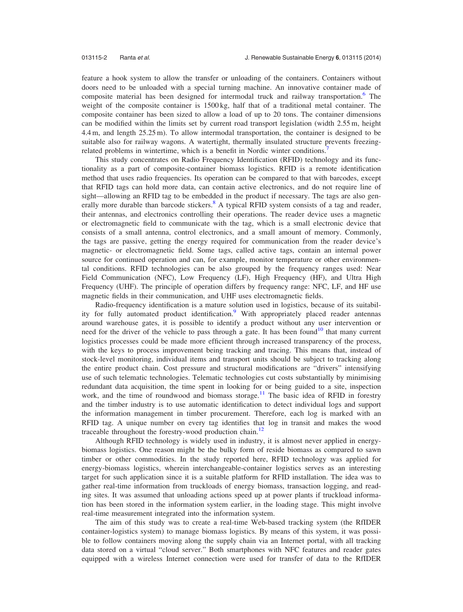feature a hook system to allow the transfer or unloading of the containers. Containers without doors need to be unloaded with a special turning machine. An innovative container made of composite material has been designed for intermodal truck and railway transportation.<sup>[6](#page-10-0)</sup> The weight of the composite container is 1500 kg, half that of a traditional metal container. The composite container has been sized to allow a load of up to 20 tons. The container dimensions can be modified within the limits set by current road transport legislation (width 2.55 m, height 4.4 m, and length 25.25 m). To allow intermodal transportation, the container is designed to be suitable also for railway wagons. A watertight, thermally insulated structure prevents freezing-related problems in wintertime, which is a benefit in Nordic winter conditions.<sup>[7](#page-10-0)</sup>

This study concentrates on Radio Frequency Identification (RFID) technology and its functionality as a part of composite-container biomass logistics. RFID is a remote identification method that uses radio frequencies. Its operation can be compared to that with barcodes, except that RFID tags can hold more data, can contain active electronics, and do not require line of sight—allowing an RFID tag to be embedded in the product if necessary. The tags are also gen-erally more durable than barcode stickers.<sup>[8](#page-11-0)</sup> A typical RFID system consists of a tag and reader, their antennas, and electronics controlling their operations. The reader device uses a magnetic or electromagnetic field to communicate with the tag, which is a small electronic device that consists of a small antenna, control electronics, and a small amount of memory. Commonly, the tags are passive, getting the energy required for communication from the reader device's magnetic- or electromagnetic field. Some tags, called active tags, contain an internal power source for continued operation and can, for example, monitor temperature or other environmental conditions. RFID technologies can be also grouped by the frequency ranges used: Near Field Communication (NFC), Low Frequency (LF), High Frequency (HF), and Ultra High Frequency (UHF). The principle of operation differs by frequency range: NFC, LF, and HF use magnetic fields in their communication, and UHF uses electromagnetic fields.

Radio-frequency identification is a mature solution used in logistics, because of its suitabil-ity for fully automated product identification.<sup>[9](#page-11-0)</sup> With appropriately placed reader antennas around warehouse gates, it is possible to identify a product without any user intervention or need for the driver of the vehicle to pass through a gate. It has been found<sup>[10](#page-11-0)</sup> that many current logistics processes could be made more efficient through increased transparency of the process, with the keys to process improvement being tracking and tracing. This means that, instead of stock-level monitoring, individual items and transport units should be subject to tracking along the entire product chain. Cost pressure and structural modifications are "drivers" intensifying use of such telematic technologies. Telematic technologies cut costs substantially by minimising redundant data acquisition, the time spent in looking for or being guided to a site, inspection work, and the time of roundwood and biomass storage.<sup>[11](#page-11-0)</sup> The basic idea of RFID in forestry and the timber industry is to use automatic identification to detect individual logs and support the information management in timber procurement. Therefore, each log is marked with an RFID tag. A unique number on every tag identifies that log in transit and makes the wood traceable throughout the forestry-wood production chain.<sup>[12](#page-11-0)</sup>

Although RFID technology is widely used in industry, it is almost never applied in energybiomass logistics. One reason might be the bulky form of reside biomass as compared to sawn timber or other commodities. In the study reported here, RFID technology was applied for energy-biomass logistics, wherein interchangeable-container logistics serves as an interesting target for such application since it is a suitable platform for RFID installation. The idea was to gather real-time information from truckloads of energy biomass, transaction logging, and reading sites. It was assumed that unloading actions speed up at power plants if truckload information has been stored in the information system earlier, in the loading stage. This might involve real-time measurement integrated into the information system.

The aim of this study was to create a real-time Web-based tracking system (the RfIDER container-logistics system) to manage biomass logistics. By means of this system, it was possible to follow containers moving along the supply chain via an Internet portal, with all tracking data stored on a virtual "cloud server." Both smartphones with NFC features and reader gates equipped with a wireless Internet connection were used for transfer of data to the RfIDER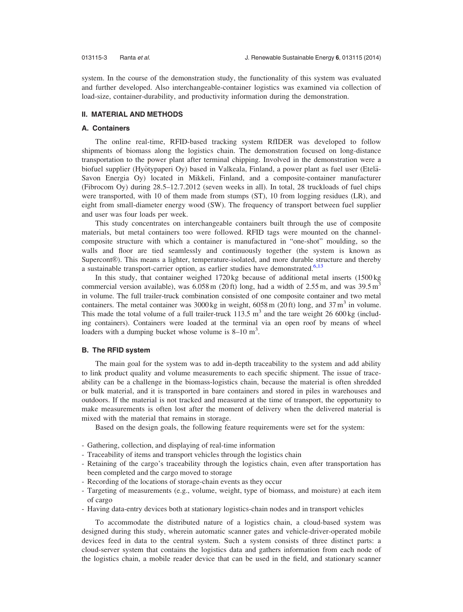system. In the course of the demonstration study, the functionality of this system was evaluated and further developed. Also interchangeable-container logistics was examined via collection of load-size, container-durability, and productivity information during the demonstration.

### II. MATERIAL AND METHODS

# A. Containers

The online real-time, RFID-based tracking system RfIDER was developed to follow shipments of biomass along the logistics chain. The demonstration focused on long-distance transportation to the power plant after terminal chipping. Involved in the demonstration were a biofuel supplier (Hyötypaperi Oy) based in Valkeala, Finland, a power plant as fuel user (Etelä-Savon Energia Oy) located in Mikkeli, Finland, and a composite-container manufacturer (Fibrocom Oy) during 28.5–12.7.2012 (seven weeks in all). In total, 28 truckloads of fuel chips were transported, with 10 of them made from stumps (ST), 10 from logging residues (LR), and eight from small-diameter energy wood (SW). The frequency of transport between fuel supplier and user was four loads per week.

This study concentrates on interchangeable containers built through the use of composite materials, but metal containers too were followed. RFID tags were mounted on the channelcomposite structure with which a container is manufactured in "one-shot" moulding, so the walls and floor are tied seamlessly and continuously together (the system is known as Supercont®). This means a lighter, temperature-isolated, and more durable structure and thereby a sustainable transport-carrier option, as earlier studies have demonstrated. $6,13$  $6,13$ 

In this study, that container weighed 1720 kg because of additional metal inserts (1500 kg commercial version available), was  $6.058 \text{ m}$  (20 ft) long, had a width of 2.55 m, and was 39.5 m<sup>3</sup> in volume. The full trailer-truck combination consisted of one composite container and two metal containers. The metal container was  $3000 \text{ kg}$  in weight,  $6058 \text{ m}$  (20 ft) long, and  $37 \text{ m}^3$  in volume. This made the total volume of a full trailer-truck  $113.5 \text{ m}^3$  and the tare weight 26 600 kg (including containers). Containers were loaded at the terminal via an open roof by means of wheel loaders with a dumping bucket whose volume is  $8-10 \text{ m}^3$ .

# B. The RFID system

The main goal for the system was to add in-depth traceability to the system and add ability to link product quality and volume measurements to each specific shipment. The issue of traceability can be a challenge in the biomass-logistics chain, because the material is often shredded or bulk material, and it is transported in bare containers and stored in piles in warehouses and outdoors. If the material is not tracked and measured at the time of transport, the opportunity to make measurements is often lost after the moment of delivery when the delivered material is mixed with the material that remains in storage.

Based on the design goals, the following feature requirements were set for the system:

- Gathering, collection, and displaying of real-time information
- Traceability of items and transport vehicles through the logistics chain
- Retaining of the cargo's traceability through the logistics chain, even after transportation has been completed and the cargo moved to storage
- Recording of the locations of storage-chain events as they occur
- Targeting of measurements (e.g., volume, weight, type of biomass, and moisture) at each item of cargo
- Having data-entry devices both at stationary logistics-chain nodes and in transport vehicles

To accommodate the distributed nature of a logistics chain, a cloud-based system was designed during this study, wherein automatic scanner gates and vehicle-driver-operated mobile devices feed in data to the central system. Such a system consists of three distinct parts: a cloud-server system that contains the logistics data and gathers information from each node of the logistics chain, a mobile reader device that can be used in the field, and stationary scanner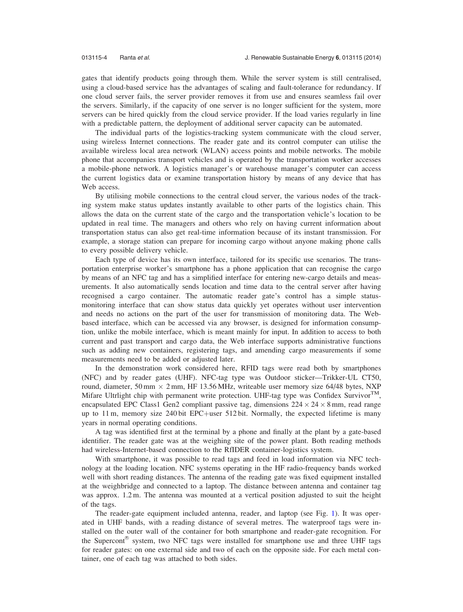gates that identify products going through them. While the server system is still centralised, using a cloud-based service has the advantages of scaling and fault-tolerance for redundancy. If one cloud server fails, the server provider removes it from use and ensures seamless fail over the servers. Similarly, if the capacity of one server is no longer sufficient for the system, more servers can be hired quickly from the cloud service provider. If the load varies regularly in line with a predictable pattern, the deployment of additional server capacity can be automated.

The individual parts of the logistics-tracking system communicate with the cloud server, using wireless Internet connections. The reader gate and its control computer can utilise the available wireless local area network (WLAN) access points and mobile networks. The mobile phone that accompanies transport vehicles and is operated by the transportation worker accesses a mobile-phone network. A logistics manager's or warehouse manager's computer can access the current logistics data or examine transportation history by means of any device that has Web access.

By utilising mobile connections to the central cloud server, the various nodes of the tracking system make status updates instantly available to other parts of the logistics chain. This allows the data on the current state of the cargo and the transportation vehicle's location to be updated in real time. The managers and others who rely on having current information about transportation status can also get real-time information because of its instant transmission. For example, a storage station can prepare for incoming cargo without anyone making phone calls to every possible delivery vehicle.

Each type of device has its own interface, tailored for its specific use scenarios. The transportation enterprise worker's smartphone has a phone application that can recognise the cargo by means of an NFC tag and has a simplified interface for entering new-cargo details and measurements. It also automatically sends location and time data to the central server after having recognised a cargo container. The automatic reader gate's control has a simple statusmonitoring interface that can show status data quickly yet operates without user intervention and needs no actions on the part of the user for transmission of monitoring data. The Webbased interface, which can be accessed via any browser, is designed for information consumption, unlike the mobile interface, which is meant mainly for input. In addition to access to both current and past transport and cargo data, the Web interface supports administrative functions such as adding new containers, registering tags, and amending cargo measurements if some measurements need to be added or adjusted later.

In the demonstration work considered here, RFID tags were read both by smartphones (NFC) and by reader gates (UHF). NFC-tag type was Outdoor sticker—Trikker-UL CT50, round, diameter, 50 mm  $\times$  2 mm, HF 13.56 MHz, writeable user memory size 64/48 bytes, NXP Mifare Ultrlight chip with permanent write protection. UHF-tag type was Confidex Survivor<sup>TM</sup>, encapsulated EPC Class1 Gen2 compliant passive tag, dimensions  $224 \times 24 \times 8$  mm, read range up to 11 m, memory size  $240$  bit EPC+user  $512$  bit. Normally, the expected lifetime is many years in normal operating conditions.

A tag was identified first at the terminal by a phone and finally at the plant by a gate-based identifier. The reader gate was at the weighing site of the power plant. Both reading methods had wireless-Internet-based connection to the RfIDER container-logistics system.

With smartphone, it was possible to read tags and feed in load information via NFC technology at the loading location. NFC systems operating in the HF radio-frequency bands worked well with short reading distances. The antenna of the reading gate was fixed equipment installed at the weighbridge and connected to a laptop. The distance between antenna and container tag was approx. 1.2 m. The antenna was mounted at a vertical position adjusted to suit the height of the tags.

The reader-gate equipment included antenna, reader, and laptop (see Fig. [1\)](#page-4-0). It was operated in UHF bands, with a reading distance of several metres. The waterproof tags were installed on the outer wall of the container for both smartphone and reader-gate recognition. For the Supercont® system, two NFC tags were installed for smartphone use and three UHF tags for reader gates: on one external side and two of each on the opposite side. For each metal container, one of each tag was attached to both sides.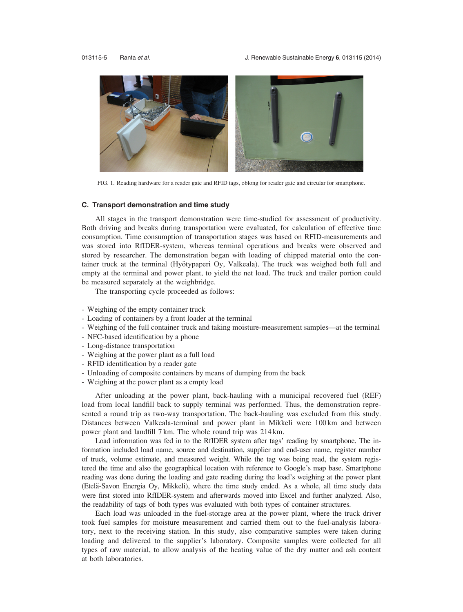<span id="page-4-0"></span>

FIG. 1. Reading hardware for a reader gate and RFID tags, oblong for reader gate and circular for smartphone.

#### C. Transport demonstration and time study

All stages in the transport demonstration were time-studied for assessment of productivity. Both driving and breaks during transportation were evaluated, for calculation of effective time consumption. Time consumption of transportation stages was based on RFID-measurements and was stored into RfIDER-system, whereas terminal operations and breaks were observed and stored by researcher. The demonstration began with loading of chipped material onto the container truck at the terminal (Hyötypaperi Oy, Valkeala). The truck was weighed both full and empty at the terminal and power plant, to yield the net load. The truck and trailer portion could be measured separately at the weighbridge.

The transporting cycle proceeded as follows:

- Weighing of the empty container truck
- Loading of containers by a front loader at the terminal
- Weighing of the full container truck and taking moisture-measurement samples—at the terminal
- NFC-based identification by a phone
- Long-distance transportation
- Weighing at the power plant as a full load
- RFID identification by a reader gate
- Unloading of composite containers by means of dumping from the back
- Weighing at the power plant as a empty load

After unloading at the power plant, back-hauling with a municipal recovered fuel (REF) load from local landfill back to supply terminal was performed. Thus, the demonstration represented a round trip as two-way transportation. The back-hauling was excluded from this study. Distances between Valkeala-terminal and power plant in Mikkeli were 100 km and between power plant and landfill 7 km. The whole round trip was 214 km.

Load information was fed in to the RfIDER system after tags' reading by smartphone. The information included load name, source and destination, supplier and end-user name, register number of truck, volume estimate, and measured weight. While the tag was being read, the system registered the time and also the geographical location with reference to Google's map base. Smartphone reading was done during the loading and gate reading during the load's weighing at the power plant (Etel€a-Savon Energia Oy, Mikkeli), where the time study ended. As a whole, all time study data were first stored into RfIDER-system and afterwards moved into Excel and further analyzed. Also, the readability of tags of both types was evaluated with both types of container structures.

Each load was unloaded in the fuel-storage area at the power plant, where the truck driver took fuel samples for moisture measurement and carried them out to the fuel-analysis laboratory, next to the receiving station. In this study, also comparative samples were taken during loading and delivered to the supplier's laboratory. Composite samples were collected for all types of raw material, to allow analysis of the heating value of the dry matter and ash content at both laboratories.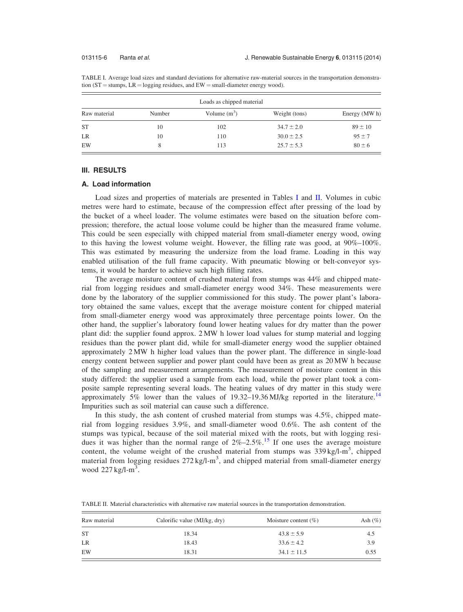| Loads as chipped material |        |                |                |               |  |
|---------------------------|--------|----------------|----------------|---------------|--|
| Raw material              | Number | Volume $(m^3)$ | Weight (tons)  | Energy (MW h) |  |
| <b>ST</b>                 | 10     | 102            | $34.7 \pm 2.0$ | $89 \pm 10$   |  |
| LR                        | 10     | 110            | $30.0 \pm 2.5$ | $95 \pm 7$    |  |
| EW                        |        | 113            | $25.7 \pm 5.3$ | $80 \pm 6$    |  |

TABLE I. Average load sizes and standard deviations for alternative raw-material sources in the transportation demonstration ( $ST =$  stumps,  $LR =$  logging residues, and  $EW =$  small-diameter energy wood).

# III. RESULTS

## A. Load information

Load sizes and properties of materials are presented in Tables [I](#page-4-0) and [II.](#page-6-0) Volumes in cubic metres were hard to estimate, because of the compression effect after pressing of the load by the bucket of a wheel loader. The volume estimates were based on the situation before compression; therefore, the actual loose volume could be higher than the measured frame volume. This could be seen especially with chipped material from small-diameter energy wood, owing to this having the lowest volume weight. However, the filling rate was good, at 90%–100%. This was estimated by measuring the undersize from the load frame. Loading in this way enabled utilisation of the full frame capacity. With pneumatic blowing or belt-conveyor systems, it would be harder to achieve such high filling rates.

The average moisture content of crushed material from stumps was 44% and chipped material from logging residues and small-diameter energy wood 34%. These measurements were done by the laboratory of the supplier commissioned for this study. The power plant's laboratory obtained the same values, except that the average moisture content for chipped material from small-diameter energy wood was approximately three percentage points lower. On the other hand, the supplier's laboratory found lower heating values for dry matter than the power plant did: the supplier found approx. 2 MW h lower load values for stump material and logging residues than the power plant did, while for small-diameter energy wood the supplier obtained approximately 2 MW h higher load values than the power plant. The difference in single-load energy content between supplier and power plant could have been as great as 20 MW h because of the sampling and measurement arrangements. The measurement of moisture content in this study differed: the supplier used a sample from each load, while the power plant took a composite sample representing several loads. The heating values of dry matter in this study were approximately 5% lower than the values of  $19.32-19.36$  MJ/kg reported in the literature.<sup>[14](#page-11-0)</sup> Impurities such as soil material can cause such a difference.

In this study, the ash content of crushed material from stumps was 4.5%, chipped material from logging residues 3.9%, and small-diameter wood 0.6%. The ash content of the stumps was typical, because of the soil material mixed with the roots, but with logging residues it was higher than the normal range of  $2\%-2.5\%$ .<sup>[15](#page-11-0)</sup> If one uses the average moisture content, the volume weight of the crushed material from stumps was  $339 \text{ kg/L-m}^3$ , chipped material from logging residues 272 kg/l-m<sup>3</sup>, and chipped material from small-diameter energy wood  $227 \text{ kg/l-m}^3$ .

TABLE II. Material characteristics with alternative raw material sources in the transportation demonstration.

| Raw material | Calorific value (MJ/kg, dry) | Moisture content $(\% )$ | Ash $(\% )$ |
|--------------|------------------------------|--------------------------|-------------|
| <b>ST</b>    | 18.34                        | $43.8 \pm 5.9$           | 4.5         |
| LR           | 18.43                        | $33.6 \pm 4.2$           | 3.9         |
| EW           | 18.31                        | $34.1 \pm 11.5$          | 0.55        |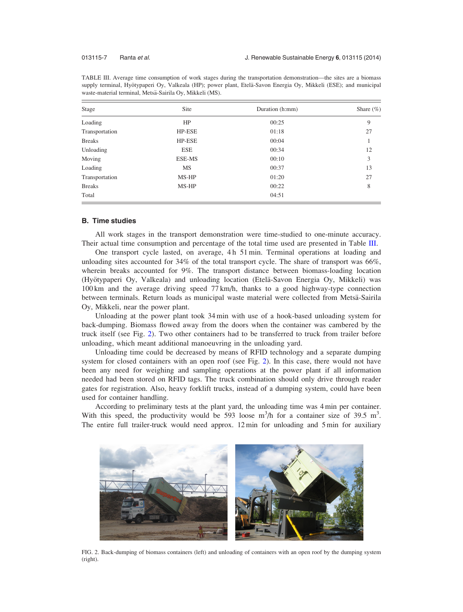<span id="page-6-0"></span>

| TABLE III. Average time consumption of work stages during the transportation demonstration—the sites are a biomass |
|--------------------------------------------------------------------------------------------------------------------|
| supply terminal, Hyötypaperi Oy, Valkeala (HP); power plant, Etelä-Savon Energia Oy, Mikkeli (ESE); and municipal  |
| waste-material terminal, Metsä-Sairila Oy, Mikkeli (MS).                                                           |

| <b>Stage</b>   | Site       | Duration (h:mm) | Share $(\%)$ |
|----------------|------------|-----------------|--------------|
| Loading        | HP         | 00:25           | 9            |
| Transportation | HP-ESE     | 01:18           | 27           |
| <b>Breaks</b>  | HP-ESE     | 00:04           |              |
| Unloading      | <b>ESE</b> | 00:34           | 12           |
| Moving         | ESE-MS     | 00:10           | 3            |
| Loading        | <b>MS</b>  | 00:37           | 13           |
| Transportation | MS-HP      | 01:20           | 27           |
| <b>Breaks</b>  | MS-HP      | 00:22           | 8            |
| Total          |            | 04:51           |              |

# B. Time studies

All work stages in the transport demonstration were time-studied to one-minute accuracy. Their actual time consumption and percentage of the total time used are presented in Table III.

One transport cycle lasted, on average, 4 h 51 min. Terminal operations at loading and unloading sites accounted for 34% of the total transport cycle. The share of transport was 66%, wherein breaks accounted for 9%. The transport distance between biomass-loading location (Hyötypaperi Oy, Valkeala) and unloading location (Etelä-Savon Energia Oy, Mikkeli) was 100 km and the average driving speed 77 km/h, thanks to a good highway-type connection between terminals. Return loads as municipal waste material were collected from Metsä-Sairila Oy, Mikkeli, near the power plant.

Unloading at the power plant took 34 min with use of a hook-based unloading system for back-dumping. Biomass flowed away from the doors when the container was cambered by the truck itself (see Fig. 2). Two other containers had to be transferred to truck from trailer before unloading, which meant additional manoeuvring in the unloading yard.

Unloading time could be decreased by means of RFID technology and a separate dumping system for closed containers with an open roof (see Fig. 2). In this case, there would not have been any need for weighing and sampling operations at the power plant if all information needed had been stored on RFID tags. The truck combination should only drive through reader gates for registration. Also, heavy forklift trucks, instead of a dumping system, could have been used for container handling.

According to preliminary tests at the plant yard, the unloading time was 4 min per container. With this speed, the productivity would be 593 loose  $m^3/h$  for a container size of 39.5  $m^3$ . The entire full trailer-truck would need approx. 12 min for unloading and 5 min for auxiliary



FIG. 2. Back-dumping of biomass containers (left) and unloading of containers with an open roof by the dumping system (right).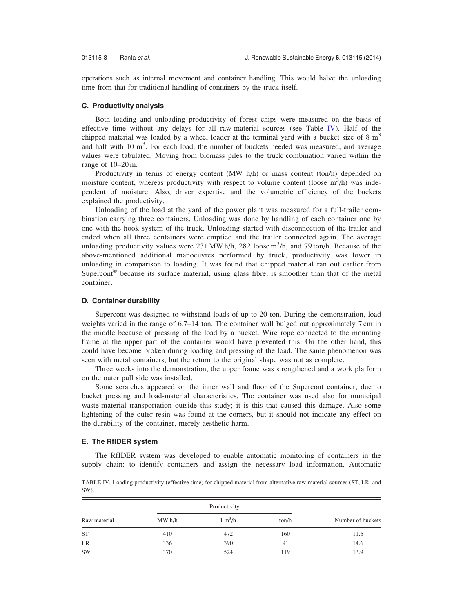operations such as internal movement and container handling. This would halve the unloading time from that for traditional handling of containers by the truck itself.

### C. Productivity analysis

Both loading and unloading productivity of forest chips were measured on the basis of effective time without any delays for all raw-material sources (see Table IV). Half of the chipped material was loaded by a wheel loader at the terminal yard with a bucket size of 8  $m<sup>3</sup>$ and half with 10 m<sup>3</sup>. For each load, the number of buckets needed was measured, and average values were tabulated. Moving from biomass piles to the truck combination varied within the range of 10–20 m.

Productivity in terms of energy content (MW h/h) or mass content (ton/h) depended on moisture content, whereas productivity with respect to volume content (loose  $m^3/h$ ) was independent of moisture. Also, driver expertise and the volumetric efficiency of the buckets explained the productivity.

Unloading of the load at the yard of the power plant was measured for a full-trailer combination carrying three containers. Unloading was done by handling of each container one by one with the hook system of the truck. Unloading started with disconnection of the trailer and ended when all three containers were emptied and the trailer connected again. The average unloading productivity values were  $231$  MW h/h,  $282$  loose m<sup>3</sup>/h, and 79 ton/h. Because of the above-mentioned additional manoeuvres performed by truck, productivity was lower in unloading in comparison to loading. It was found that chipped material ran out earlier from Supercont<sup>®</sup> because its surface material, using glass fibre, is smoother than that of the metal container.

#### D. Container durability

Supercont was designed to withstand loads of up to 20 ton. During the demonstration, load weights varied in the range of  $6.7-14$  ton. The container wall bulged out approximately 7 cm in the middle because of pressing of the load by a bucket. Wire rope connected to the mounting frame at the upper part of the container would have prevented this. On the other hand, this could have become broken during loading and pressing of the load. The same phenomenon was seen with metal containers, but the return to the original shape was not as complete.

Three weeks into the demonstration, the upper frame was strengthened and a work platform on the outer pull side was installed.

Some scratches appeared on the inner wall and floor of the Supercont container, due to bucket pressing and load-material characteristics. The container was used also for municipal waste-material transportation outside this study; it is this that caused this damage. Also some lightening of the outer resin was found at the corners, but it should not indicate any effect on the durability of the container, merely aesthetic harm.

### E. The RfIDER system

The RfIDER system was developed to enable automatic monitoring of containers in the supply chain: to identify containers and assign the necessary load information. Automatic

TABLE IV. Loading productivity (effective time) for chipped material from alternative raw-material sources (ST, LR, and SW).

|              | Productivity |           |       |                   |
|--------------|--------------|-----------|-------|-------------------|
| Raw material | MW h/h       | $1-m^3/h$ | ton/h | Number of buckets |
| <b>ST</b>    | 410          | 472       | 160   | 11.6              |
| LR           | 336          | 390       | 91    | 14.6              |
| <b>SW</b>    | 370          | 524       | 119   | 13.9              |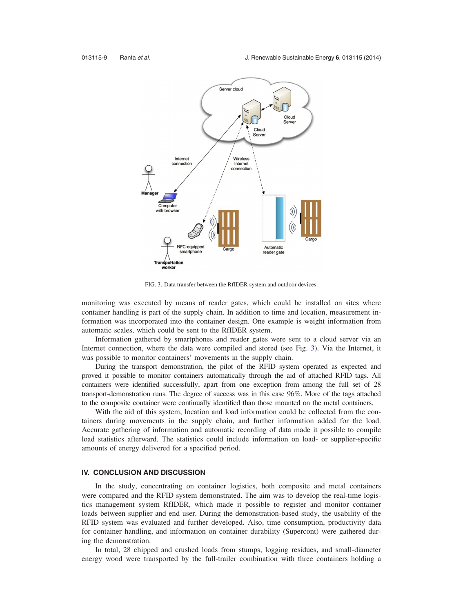

FIG. 3. Data transfer between the RfIDER system and outdoor devices.

monitoring was executed by means of reader gates, which could be installed on sites where container handling is part of the supply chain. In addition to time and location, measurement information was incorporated into the container design. One example is weight information from automatic scales, which could be sent to the RfIDER system.

Information gathered by smartphones and reader gates were sent to a cloud server via an Internet connection, where the data were compiled and stored (see Fig. 3). Via the Internet, it was possible to monitor containers' movements in the supply chain.

During the transport demonstration, the pilot of the RFID system operated as expected and proved it possible to monitor containers automatically through the aid of attached RFID tags. All containers were identified successfully, apart from one exception from among the full set of 28 transport-demonstration runs. The degree of success was in this case 96%. More of the tags attached to the composite container were continually identified than those mounted on the metal containers.

With the aid of this system, location and load information could be collected from the containers during movements in the supply chain, and further information added for the load. Accurate gathering of information and automatic recording of data made it possible to compile load statistics afterward. The statistics could include information on load- or supplier-specific amounts of energy delivered for a specified period.

#### IV. CONCLUSION AND DISCUSSION

In the study, concentrating on container logistics, both composite and metal containers were compared and the RFID system demonstrated. The aim was to develop the real-time logistics management system RfIDER, which made it possible to register and monitor container loads between supplier and end user. During the demonstration-based study, the usability of the RFID system was evaluated and further developed. Also, time consumption, productivity data for container handling, and information on container durability (Supercont) were gathered during the demonstration.

In total, 28 chipped and crushed loads from stumps, logging residues, and small-diameter energy wood were transported by the full-trailer combination with three containers holding a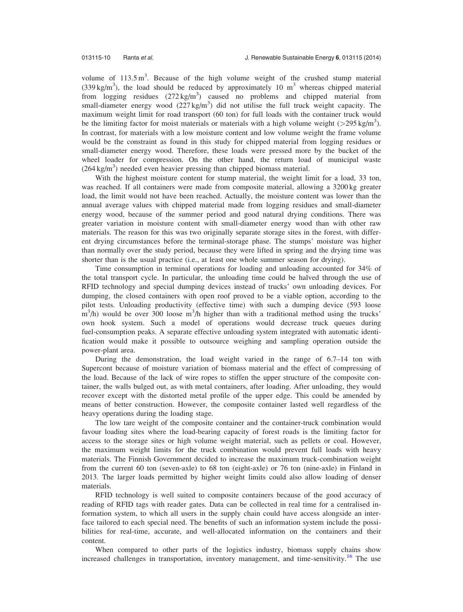volume of  $113.5 \text{ m}^3$ . Because of the high volume weight of the crushed stump material (339 kg/m<sup>3</sup>), the load should be reduced by approximately 10 m<sup>3</sup> whereas chipped material from  $logging$  residues  $(272 \text{ kg/m}^3)$  caused no problems and chipped material from small-diameter energy wood  $(227 \text{ kg/m}^3)$  did not utilise the full truck weight capacity. The maximum weight limit for road transport (60 ton) for full loads with the container truck would be the limiting factor for moist materials or materials with a high volume weight  $(>295 \text{ kg/m}^3)$ . In contrast, for materials with a low moisture content and low volume weight the frame volume would be the constraint as found in this study for chipped material from logging residues or small-diameter energy wood. Therefore, these loads were pressed more by the bucket of the wheel loader for compression. On the other hand, the return load of municipal waste  $(264 \text{ kg/m}^3)$  needed even heavier pressing than chipped biomass material.

With the highest moisture content for stump material, the weight limit for a load, 33 ton, was reached. If all containers were made from composite material, allowing a 3200 kg greater load, the limit would not have been reached. Actually, the moisture content was lower than the annual average values with chipped material made from logging residues and small-diameter energy wood, because of the summer period and good natural drying conditions. There was greater variation in moisture content with small-diameter energy wood than with other raw materials. The reason for this was two originally separate storage sites in the forest, with different drying circumstances before the terminal-storage phase. The stumps' moisture was higher than normally over the study period, because they were lifted in spring and the drying time was shorter than is the usual practice (i.e., at least one whole summer season for drying).

Time consumption in terminal operations for loading and unloading accounted for 34% of the total transport cycle. In particular, the unloading time could be halved through the use of RFID technology and special dumping devices instead of trucks' own unloading devices. For dumping, the closed containers with open roof proved to be a viable option, according to the pilot tests. Unloading productivity (effective time) with such a dumping device (593 loose  $\text{m}^3$ /h) would be over 300 loose  $\text{m}^3$ /h higher than with a traditional method using the trucks' own hook system. Such a model of operations would decrease truck queues during fuel-consumption peaks. A separate effective unloading system integrated with automatic identification would make it possible to outsource weighing and sampling operation outside the power-plant area.

During the demonstration, the load weight varied in the range of 6.7–14 ton with Supercont because of moisture variation of biomass material and the effect of compressing of the load. Because of the lack of wire ropes to stiffen the upper structure of the composite container, the walls bulged out, as with metal containers, after loading. After unloading, they would recover except with the distorted metal profile of the upper edge. This could be amended by means of better construction. However, the composite container lasted well regardless of the heavy operations during the loading stage.

The low tare weight of the composite container and the container-truck combination would favour loading sites where the load-bearing capacity of forest roads is the limiting factor for access to the storage sites or high volume weight material, such as pellets or coal. However, the maximum weight limits for the truck combination would prevent full loads with heavy materials. The Finnish Government decided to increase the maximum truck-combination weight from the current 60 ton (seven-axle) to 68 ton (eight-axle) or 76 ton (nine-axle) in Finland in 2013. The larger loads permitted by higher weight limits could also allow loading of denser materials.

RFID technology is well suited to composite containers because of the good accuracy of reading of RFID tags with reader gates. Data can be collected in real time for a centralised information system, to which all users in the supply chain could have access alongside an interface tailored to each special need. The benefits of such an information system include the possibilities for real-time, accurate, and well-allocated information on the containers and their content.

When compared to other parts of the logistics industry, biomass supply chains show increased challenges in transportation, inventory management, and time-sensitivity.<sup>[16](#page-11-0)</sup> The use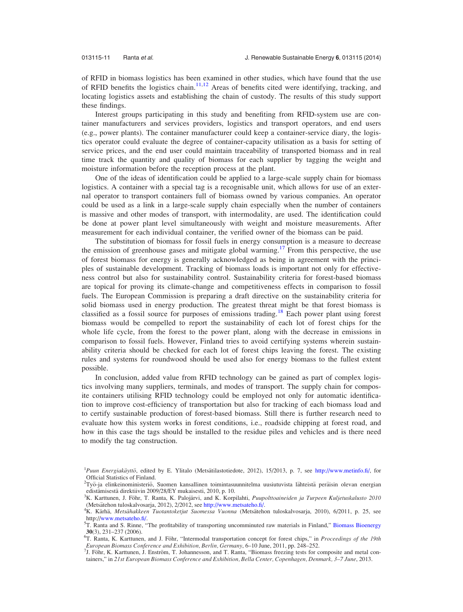<span id="page-10-0"></span>of RFID in biomass logistics has been examined in other studies, which have found that the use of RFID benefits the logistics chain.<sup>[11,12](#page-11-0)</sup> Areas of benefits cited were identifying, tracking, and locating logistics assets and establishing the chain of custody. The results of this study support these findings.

Interest groups participating in this study and benefiting from RFID-system use are container manufacturers and services providers, logistics and transport operators, and end users (e.g., power plants). The container manufacturer could keep a container-service diary, the logistics operator could evaluate the degree of container-capacity utilisation as a basis for setting of service prices, and the end user could maintain traceability of transported biomass and in real time track the quantity and quality of biomass for each supplier by tagging the weight and moisture information before the reception process at the plant.

One of the ideas of identification could be applied to a large-scale supply chain for biomass logistics. A container with a special tag is a recognisable unit, which allows for use of an external operator to transport containers full of biomass owned by various companies. An operator could be used as a link in a large-scale supply chain especially when the number of containers is massive and other modes of transport, with intermodality, are used. The identification could be done at power plant level simultaneously with weight and moisture measurements. After measurement for each individual container, the verified owner of the biomass can be paid.

The substitution of biomass for fossil fuels in energy consumption is a measure to decrease the emission of greenhouse gases and mitigate global warming.<sup>17</sup> From this perspective, the use of forest biomass for energy is generally acknowledged as being in agreement with the principles of sustainable development. Tracking of biomass loads is important not only for effectiveness control but also for sustainability control. Sustainability criteria for forest-based biomass are topical for proving its climate-change and competitiveness effects in comparison to fossil fuels. The European Commission is preparing a draft directive on the sustainability criteria for solid biomass used in energy production. The greatest threat might be that forest biomass is classified as a fossil source for purposes of emissions trading.<sup>[18](#page-11-0)</sup> Each power plant using forest biomass would be compelled to report the sustainability of each lot of forest chips for the whole life cycle, from the forest to the power plant, along with the decrease in emissions in comparison to fossil fuels. However, Finland tries to avoid certifying systems wherein sustainability criteria should be checked for each lot of forest chips leaving the forest. The existing rules and systems for roundwood should be used also for energy biomass to the fullest extent possible.

In conclusion, added value from RFID technology can be gained as part of complex logistics involving many suppliers, terminals, and modes of transport. The supply chain for composite containers utilising RFID technology could be employed not only for automatic identification to improve cost-efficiency of transportation but also for tracking of each biomass load and to certify sustainable production of forest-based biomass. Still there is further research need to evaluate how this system works in forest conditions, i.e., roadside chipping at forest road, and how in this case the tags should be installed to the residue piles and vehicles and is there need to modify the tag construction.

<sup>&</sup>lt;sup>1</sup>Puun Energiakäyttö, edited by E. Ylitalo (Metsätilastotiedote, 2012), 15/2013, p. 7, see [http://www.metinfo.fi/,](http://www.metinfo.fi/) for Official Statistics of Finland.

<sup>2</sup>Työ-ja elinkeinoministeriö, Suomen kansallinen toimintasuunnitelma uusiutuvista lähteistä peräisin olevan energian edistämisestä direktiivin 2009/28/EY mukaisesti, 2010, p. 10.

 $K^3K$ . Karttunen, J. Föhr, T. Ranta, K. Palojärvi, and K. Korpilahti, *Puupolttoaineiden ja Turpeen Kuljetuskalusto 2010* (Metsätehon tuloskalvosarja, 2012), 2/2012, see [http://www.metsateho.fi/.](http://www.metsateho.fi/)

<sup>&</sup>lt;sup>4</sup>K. Kärhä, *Metsähakkeen Tuotantoketjut Suomessa Vuonna* (Metsätehon tuloskalvosarja, 2010), 6/2011, p. 25, see<br>http://www.metsateho.fi/. http:/[/www.metsateho.fi/](http://www.metsateho.fi/).<br><sup>5</sup>T. Ranta and S. Rinne, "The profitability of transporting uncomminuted raw materials in Finland," [Biomass Bioenergy](http://dx.doi.org/10.1016/j.biombioe.2005.11.012)

 $30(3)$ ,  $231-237(2006)$ .

 ${}^{6}T$ . Ranta, K. Karttunen, and J. Föhr, "Intermodal transportation concept for forest chips," in *Proceedings of the 19th* European Biomass Conference and Exhibition, Berlin, Germany, 6–10 June, 2011, pp. 248–252. <sup>7</sup>

<sup>&</sup>lt;sup>7</sup>J. Föhr, K. Karttunen, J. Enström, T. Johannesson, and T. Ranta, "Biomass freezing tests for composite and metal containers," in 21st European Biomass Conference and Exhibition, Bella Center, Copenhagen, Denmark, 3–7 June, 2013.